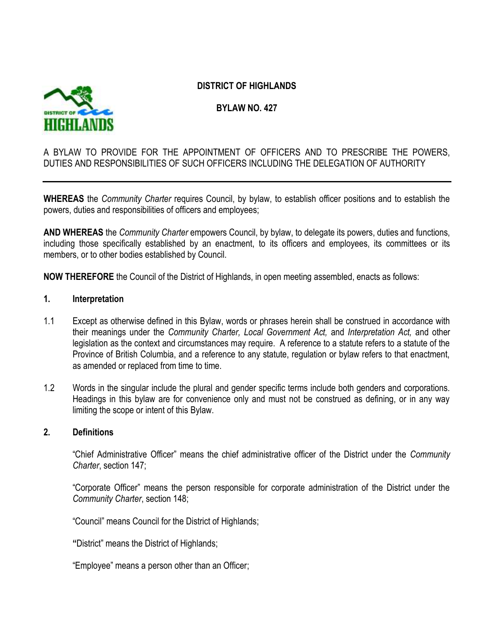

# **DISTRICT OF HIGHLANDS**

**BYLAW NO. 427**

A BYLAW TO PROVIDE FOR THE APPOINTMENT OF OFFICERS AND TO PRESCRIBE THE POWERS, DUTIES AND RESPONSIBILITIES OF SUCH OFFICERS INCLUDING THE DELEGATION OF AUTHORITY

**WHEREAS** the *Community Charter* requires Council, by bylaw, to establish officer positions and to establish the powers, duties and responsibilities of officers and employees;

**AND WHEREAS** the *Community Charter* empowers Council, by bylaw, to delegate its powers, duties and functions, including those specifically established by an enactment, to its officers and employees, its committees or its members, or to other bodies established by Council.

**NOW THEREFORE** the Council of the District of Highlands, in open meeting assembled, enacts as follows:

#### **1. Interpretation**

- 1.1 Except as otherwise defined in this Bylaw, words or phrases herein shall be construed in accordance with their meanings under the *Community Charter, Local Government Act,* and *Interpretation Act,* and other legislation as the context and circumstances may require. A reference to a statute refers to a statute of the Province of British Columbia, and a reference to any statute, regulation or bylaw refers to that enactment, as amended or replaced from time to time.
- 1.2 Words in the singular include the plural and gender specific terms include both genders and corporations. Headings in this bylaw are for convenience only and must not be construed as defining, or in any way limiting the scope or intent of this Bylaw.

### **2. Definitions**

"Chief Administrative Officer" means the chief administrative officer of the District under the *Community Charter*, section 147;

"Corporate Officer" means the person responsible for corporate administration of the District under the *Community Charter*, section 148;

"Council" means Council for the District of Highlands;

**"**District" means the District of Highlands;

"Employee" means a person other than an Officer;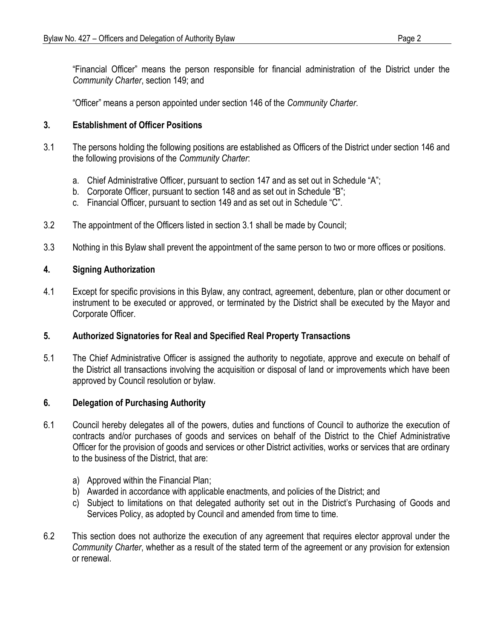"Financial Officer" means the person responsible for financial administration of the District under the *Community Charter*, section 149; and

"Officer" means a person appointed under section 146 of the *Community Charter*.

## **3. Establishment of Officer Positions**

- 3.1 The persons holding the following positions are established as Officers of the District under section 146 and the following provisions of the *Community Charter*:
	- a. Chief Administrative Officer, pursuant to section 147 and as set out in Schedule "A";
	- b. Corporate Officer, pursuant to section 148 and as set out in Schedule "B";
	- c. Financial Officer, pursuant to section 149 and as set out in Schedule "C".
- 3.2 The appointment of the Officers listed in section 3.1 shall be made by Council;
- 3.3 Nothing in this Bylaw shall prevent the appointment of the same person to two or more offices or positions.

### **4. Signing Authorization**

4.1 Except for specific provisions in this Bylaw, any contract, agreement, debenture, plan or other document or instrument to be executed or approved, or terminated by the District shall be executed by the Mayor and Corporate Officer.

# **5. Authorized Signatories for Real and Specified Real Property Transactions**

5.1 The Chief Administrative Officer is assigned the authority to negotiate, approve and execute on behalf of the District all transactions involving the acquisition or disposal of land or improvements which have been approved by Council resolution or bylaw.

# **6. Delegation of Purchasing Authority**

- 6.1 Council hereby delegates all of the powers, duties and functions of Council to authorize the execution of contracts and/or purchases of goods and services on behalf of the District to the Chief Administrative Officer for the provision of goods and services or other District activities, works or services that are ordinary to the business of the District, that are:
	- a) Approved within the Financial Plan;
	- b) Awarded in accordance with applicable enactments, and policies of the District; and
	- c) Subject to limitations on that delegated authority set out in the District's Purchasing of Goods and Services Policy, as adopted by Council and amended from time to time.
- 6.2 This section does not authorize the execution of any agreement that requires elector approval under the *Community Charter*, whether as a result of the stated term of the agreement or any provision for extension or renewal.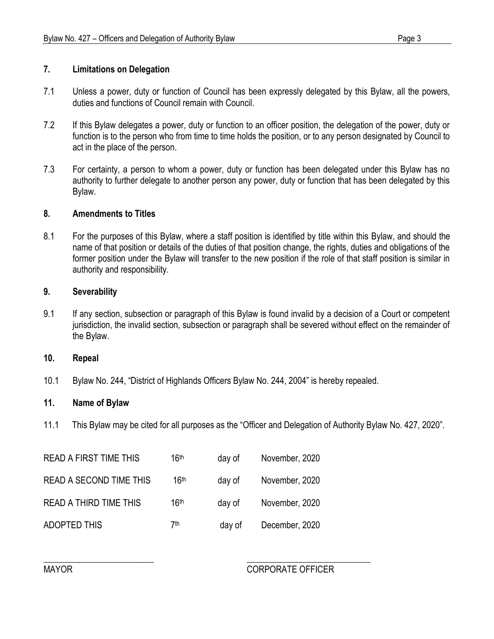### **7. Limitations on Delegation**

- 7.1 Unless a power, duty or function of Council has been expressly delegated by this Bylaw, all the powers, duties and functions of Council remain with Council.
- 7.2 If this Bylaw delegates a power, duty or function to an officer position, the delegation of the power, duty or function is to the person who from time to time holds the position, or to any person designated by Council to act in the place of the person.
- 7.3 For certainty, a person to whom a power, duty or function has been delegated under this Bylaw has no authority to further delegate to another person any power, duty or function that has been delegated by this Bylaw.

#### **8. Amendments to Titles**

8.1 For the purposes of this Bylaw, where a staff position is identified by title within this Bylaw, and should the name of that position or details of the duties of that position change, the rights, duties and obligations of the former position under the Bylaw will transfer to the new position if the role of that staff position is similar in authority and responsibility.

#### **9. Severability**

9.1 If any section, subsection or paragraph of this Bylaw is found invalid by a decision of a Court or competent jurisdiction, the invalid section, subsection or paragraph shall be severed without effect on the remainder of the Bylaw.

#### **10. Repeal**

10.1 Bylaw No. 244, "District of Highlands Officers Bylaw No. 244, 2004" is hereby repealed.

### **11. Name of Bylaw**

11.1 This Bylaw may be cited for all purposes as the "Officer and Delegation of Authority Bylaw No. 427, 2020".

| <b>READ A FIRST TIME THIS</b>  | 16 <sup>th</sup> | day of | November, 2020 |
|--------------------------------|------------------|--------|----------------|
| <b>READ A SECOND TIME THIS</b> | 16 <sup>th</sup> | day of | November, 2020 |
| <b>READ A THIRD TIME THIS</b>  | 16 <sup>th</sup> | day of | November, 2020 |
| <b>ADOPTED THIS</b>            | 7th              | day of | December, 2020 |

\_\_\_\_\_\_\_\_\_\_\_\_\_\_\_\_\_\_\_\_\_\_\_\_\_ \_\_\_\_\_\_\_\_\_\_\_\_\_\_\_\_\_\_\_\_\_\_\_\_\_\_\_\_

### MAYOR CORPORATE OFFICER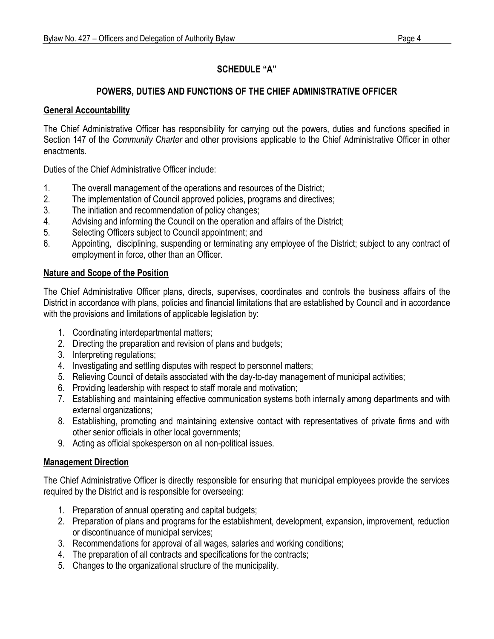# **SCHEDULE "A"**

# **POWERS, DUTIES AND FUNCTIONS OF THE CHIEF ADMINISTRATIVE OFFICER**

## **General Accountability**

The Chief Administrative Officer has responsibility for carrying out the powers, duties and functions specified in Section 147 of the *Community Charter* and other provisions applicable to the Chief Administrative Officer in other enactments.

Duties of the Chief Administrative Officer include:

- 1. The overall management of the operations and resources of the District;
- 2. The implementation of Council approved policies, programs and directives;
- 3. The initiation and recommendation of policy changes;
- 4. Advising and informing the Council on the operation and affairs of the District;
- 5. Selecting Officers subject to Council appointment; and
- 6. Appointing, disciplining, suspending or terminating any employee of the District; subject to any contract of employment in force, other than an Officer.

# **Nature and Scope of the Position**

The Chief Administrative Officer plans, directs, supervises, coordinates and controls the business affairs of the District in accordance with plans, policies and financial limitations that are established by Council and in accordance with the provisions and limitations of applicable legislation by:

- 1. Coordinating interdepartmental matters;
- 2. Directing the preparation and revision of plans and budgets;
- 3. Interpreting regulations;
- 4. Investigating and settling disputes with respect to personnel matters;
- 5. Relieving Council of details associated with the day-to-day management of municipal activities;
- 6. Providing leadership with respect to staff morale and motivation;
- 7. Establishing and maintaining effective communication systems both internally among departments and with external organizations;
- 8. Establishing, promoting and maintaining extensive contact with representatives of private firms and with other senior officials in other local governments;
- 9. Acting as official spokesperson on all non-political issues.

# **Management Direction**

The Chief Administrative Officer is directly responsible for ensuring that municipal employees provide the services required by the District and is responsible for overseeing:

- 1. Preparation of annual operating and capital budgets;
- 2. Preparation of plans and programs for the establishment, development, expansion, improvement, reduction or discontinuance of municipal services;
- 3. Recommendations for approval of all wages, salaries and working conditions;
- 4. The preparation of all contracts and specifications for the contracts;
- 5. Changes to the organizational structure of the municipality.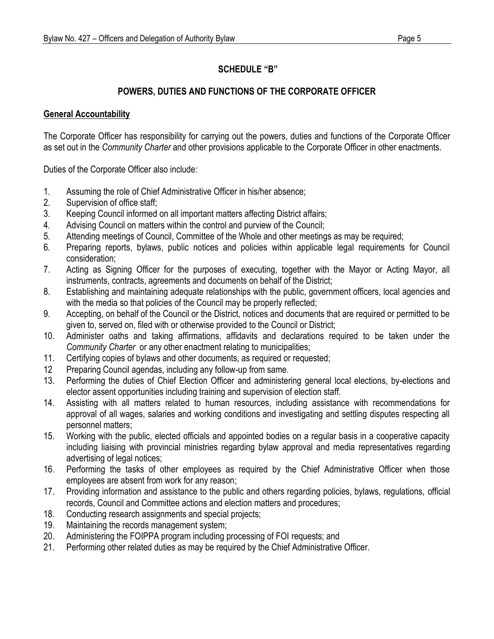# **SCHEDULE "B"**

# **POWERS, DUTIES AND FUNCTIONS OF THE CORPORATE OFFICER**

## **General Accountability**

The Corporate Officer has responsibility for carrying out the powers, duties and functions of the Corporate Officer as set out in the *Community Charter* and other provisions applicable to the Corporate Officer in other enactments.

Duties of the Corporate Officer also include:

- 1. Assuming the role of Chief Administrative Officer in his/her absence;
- 2. Supervision of office staff;
- 3. Keeping Council informed on all important matters affecting District affairs;
- 4. Advising Council on matters within the control and purview of the Council;
- 5. Attending meetings of Council, Committee of the Whole and other meetings as may be required;
- 6. Preparing reports, bylaws, public notices and policies within applicable legal requirements for Council consideration;
- 7. Acting as Signing Officer for the purposes of executing, together with the Mayor or Acting Mayor, all instruments, contracts, agreements and documents on behalf of the District;
- 8. Establishing and maintaining adequate relationships with the public, government officers, local agencies and with the media so that policies of the Council may be properly reflected;
- 9. Accepting, on behalf of the Council or the District, notices and documents that are required or permitted to be given to, served on, filed with or otherwise provided to the Council or District;
- 10. Administer oaths and taking affirmations, affidavits and declarations required to be taken under the *Community Charter* or any other enactment relating to municipalities;
- 11. Certifying copies of bylaws and other documents, as required or requested;
- 12 Preparing Council agendas, including any follow-up from same.
- 13. Performing the duties of Chief Election Officer and administering general local elections, by-elections and elector assent opportunities including training and supervision of election staff.
- 14. Assisting with all matters related to human resources, including assistance with recommendations for approval of all wages, salaries and working conditions and investigating and settling disputes respecting all personnel matters;
- 15. Working with the public, elected officials and appointed bodies on a regular basis in a cooperative capacity including liaising with provincial ministries regarding bylaw approval and media representatives regarding advertising of legal notices;
- 16. Performing the tasks of other employees as required by the Chief Administrative Officer when those employees are absent from work for any reason;
- 17. Providing information and assistance to the public and others regarding policies, bylaws, regulations, official records, Council and Committee actions and election matters and procedures;
- 18. Conducting research assignments and special projects;
- 19. Maintaining the records management system;
- 20. Administering the FOIPPA program including processing of FOI requests; and
- 21. Performing other related duties as may be required by the Chief Administrative Officer.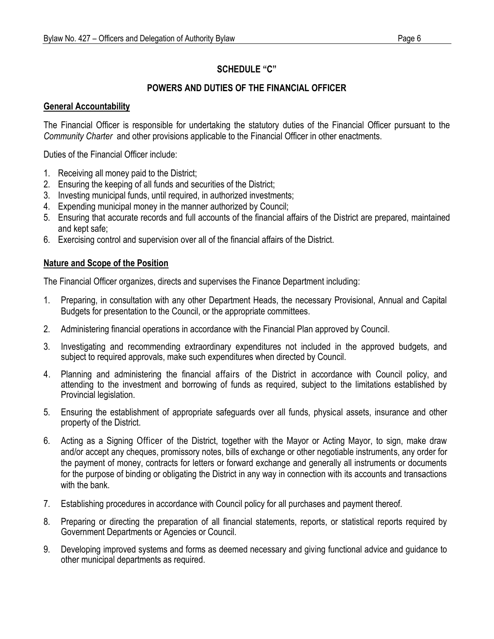# **SCHEDULE "C"**

# **POWERS AND DUTIES OF THE FINANCIAL OFFICER**

## **General Accountability**

The Financial Officer is responsible for undertaking the statutory duties of the Financial Officer pursuant to the *Community Charter* and other provisions applicable to the Financial Officer in other enactments.

Duties of the Financial Officer include:

- 1. Receiving all money paid to the District;
- 2. Ensuring the keeping of all funds and securities of the District;
- 3. Investing municipal funds, until required, in authorized investments;
- 4. Expending municipal money in the manner authorized by Council;
- 5. Ensuring that accurate records and full accounts of the financial affairs of the District are prepared, maintained and kept safe;
- 6. Exercising control and supervision over all of the financial affairs of the District.

# **Nature and Scope of the Position**

The Financial Officer organizes, directs and supervises the Finance Department including:

- 1. Preparing, in consultation with any other Department Heads, the necessary Provisional, Annual and Capital Budgets for presentation to the Council, or the appropriate committees.
- 2. Administering financial operations in accordance with the Financial Plan approved by Council.
- 3. Investigating and recommending extraordinary expenditures not included in the approved budgets, and subject to required approvals, make such expenditures when directed by Council.
- 4. Planning and administering the financial affairs of the District in accordance with Council policy, and attending to the investment and borrowing of funds as required, subject to the limitations established by Provincial legislation.
- 5. Ensuring the establishment of appropriate safeguards over all funds, physical assets, insurance and other property of the District.
- 6. Acting as a Signing Officer of the District, together with the Mayor or Acting Mayor, to sign, make draw and/or accept any cheques, promissory notes, bills of exchange or other negotiable instruments, any order for the payment of money, contracts for letters or forward exchange and generally all instruments or documents for the purpose of binding or obligating the District in any way in connection with its accounts and transactions with the bank.
- 7. Establishing procedures in accordance with Council policy for all purchases and payment thereof.
- 8. Preparing or directing the preparation of all financial statements, reports, or statistical reports required by Government Departments or Agencies or Council.
- 9. Developing improved systems and forms as deemed necessary and giving functional advice and guidance to other municipal departments as required.